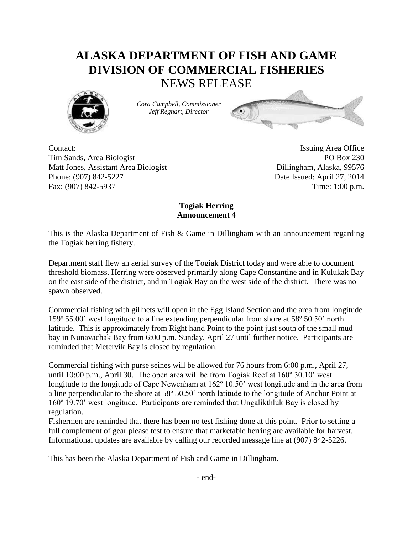## **ALASKA DEPARTMENT OF FISH AND GAME DIVISION OF COMMERCIAL FISHERIES** NEWS RELEASE



*Cora Campbell, Commissioner Jeff Regnart, Director*



Contact: Issuing Area Office Tim Sands, Area Biologist PO Box 230 Matt Jones, Assistant Area Biologist Dillingham, Alaska, 99576 Phone: (907) 842-5227 Date Issued: April 27, 2014 Fax: (907) 842-5937 Time: 1:00 p.m.

## **Togiak Herring Announcement 4**

This is the Alaska Department of Fish & Game in Dillingham with an announcement regarding the Togiak herring fishery.

Department staff flew an aerial survey of the Togiak District today and were able to document threshold biomass. Herring were observed primarily along Cape Constantine and in Kulukak Bay on the east side of the district, and in Togiak Bay on the west side of the district. There was no spawn observed.

Commercial fishing with gillnets will open in the Egg Island Section and the area from longitude 159º 55.00' west longitude to a line extending perpendicular from shore at 58º 50.50' north latitude. This is approximately from Right hand Point to the point just south of the small mud bay in Nunavachak Bay from 6:00 p.m. Sunday, April 27 until further notice. Participants are reminded that Metervik Bay is closed by regulation.

Commercial fishing with purse seines will be allowed for 76 hours from 6:00 p.m., April 27, until 10:00 p.m., April 30. The open area will be from Togiak Reef at 160º 30.10' west longitude to the longitude of Cape Newenham at 162° 10.50' west longitude and in the area from a line perpendicular to the shore at 58º 50.50' north latitude to the longitude of Anchor Point at 160º 19.70' west longitude. Participants are reminded that Ungalikthluk Bay is closed by regulation.

Fishermen are reminded that there has been no test fishing done at this point. Prior to setting a full complement of gear please test to ensure that marketable herring are available for harvest. Informational updates are available by calling our recorded message line at (907) 842-5226.

This has been the Alaska Department of Fish and Game in Dillingham.